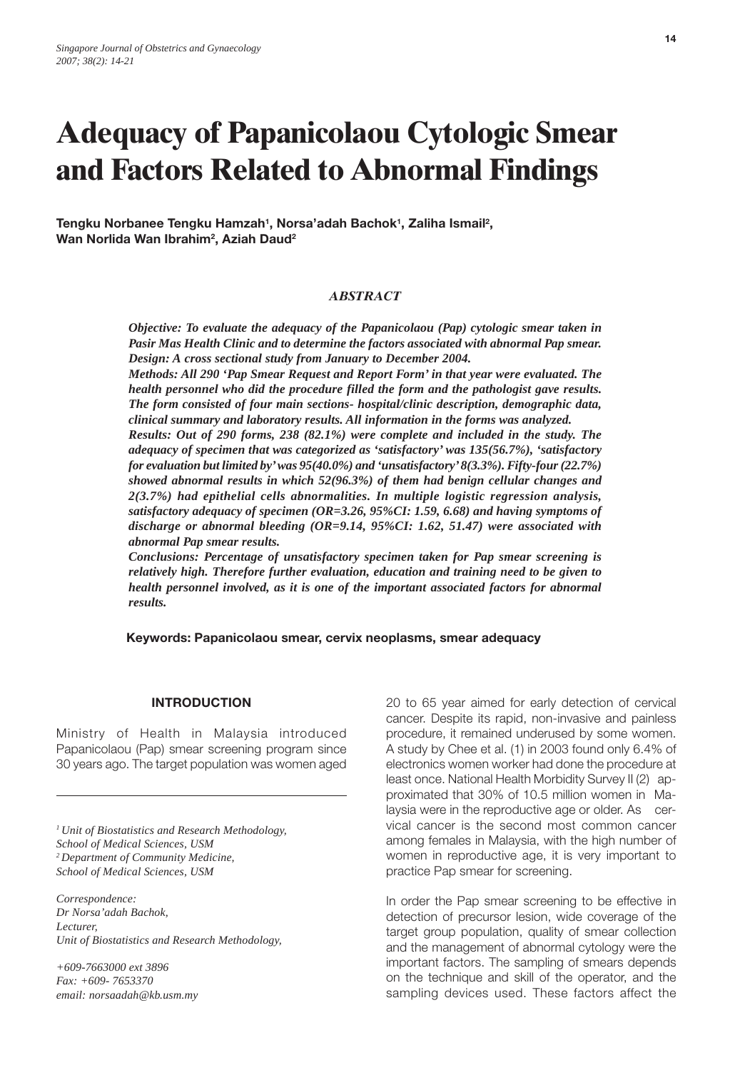# **Adequacy of Papanicolaou Cytologic Smear and Factors Related to Abnormal Findings**

**Tengku Norbanee Tengku Hamzah1, Norsa'adah Bachok1, Zaliha Ismail2 , Wan Norlida Wan Ibrahim2, Aziah Daud2**

#### *ABSTRACT*

*Objective: To evaluate the adequacy of the Papanicolaou (Pap) cytologic smear taken in Pasir Mas Health Clinic and to determine the factors associated with abnormal Pap smear. Design: A cross sectional study from January to December 2004.*

*Methods: All 290 'Pap Smear Request and Report Form' in that year were evaluated. The health personnel who did the procedure filled the form and the pathologist gave results. The form consisted of four main sections- hospital/clinic description, demographic data, clinical summary and laboratory results. All information in the forms was analyzed.*

*Results: Out of 290 forms, 238 (82.1%) were complete and included in the study. The adequacy of specimen that was categorized as 'satisfactory' was 135(56.7%), 'satisfactory for evaluation but limited by' was 95(40.0%) and 'unsatisfactory' 8(3.3%). Fifty-four (22.7%) showed abnormal results in which 52(96.3%) of them had benign cellular changes and 2(3.7%) had epithelial cells abnormalities. In multiple logistic regression analysis, satisfactory adequacy of specimen (OR=3.26, 95%CI: 1.59, 6.68) and having symptoms of discharge or abnormal bleeding (OR=9.14, 95%CI: 1.62, 51.47) were associated with abnormal Pap smear results.*

*Conclusions: Percentage of unsatisfactory specimen taken for Pap smear screening is relatively high. Therefore further evaluation, education and training need to be given to health personnel involved, as it is one of the important associated factors for abnormal results.*

**Keywords: Papanicolaou smear, cervix neoplasms, smear adequacy**

#### **INTRODUCTION**

Ministry of Health in Malaysia introduced Papanicolaou (Pap) smear screening program since 30 years ago. The target population was women aged

*1 Unit of Biostatistics and Research Methodology, School of Medical Sciences, USM 2 Department of Community Medicine, School of Medical Sciences, USM*

*Correspondence: Dr Norsa'adah Bachok, Lecturer, Unit of Biostatistics and Research Methodology,*

*+609-7663000 ext 3896 Fax: +609- 7653370 email: norsaadah@kb.usm.my* 20 to 65 year aimed for early detection of cervical cancer. Despite its rapid, non-invasive and painless procedure, it remained underused by some women. A study by Chee et al. (1) in 2003 found only 6.4% of electronics women worker had done the procedure at least once. National Health Morbidity Survey II (2) approximated that 30% of 10.5 million women in Malaysia were in the reproductive age or older. As cervical cancer is the second most common cancer among females in Malaysia, with the high number of women in reproductive age, it is very important to practice Pap smear for screening.

In order the Pap smear screening to be effective in detection of precursor lesion, wide coverage of the target group population, quality of smear collection and the management of abnormal cytology were the important factors. The sampling of smears depends on the technique and skill of the operator, and the sampling devices used. These factors affect the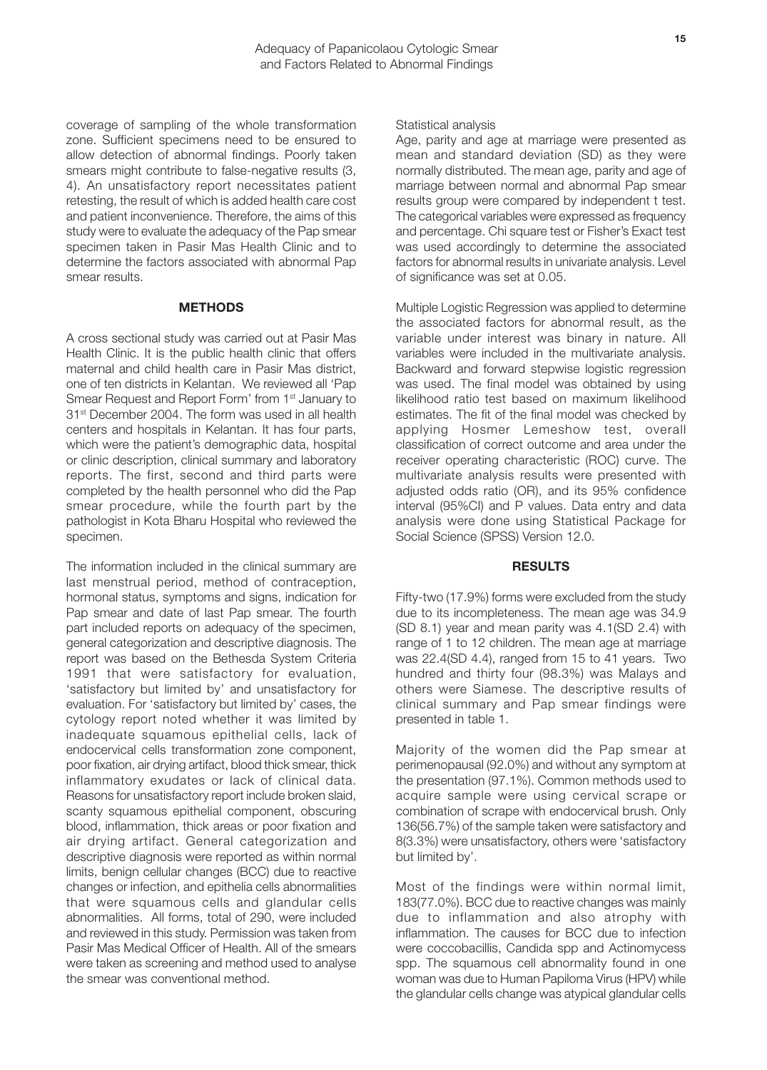coverage of sampling of the whole transformation zone. Sufficient specimens need to be ensured to allow detection of abnormal findings. Poorly taken smears might contribute to false-negative results (3, 4). An unsatisfactory report necessitates patient retesting, the result of which is added health care cost and patient inconvenience. Therefore, the aims of this study were to evaluate the adequacy of the Pap smear specimen taken in Pasir Mas Health Clinic and to determine the factors associated with abnormal Pap smear results.

### **METHODS**

A cross sectional study was carried out at Pasir Mas Health Clinic. It is the public health clinic that offers maternal and child health care in Pasir Mas district, one of ten districts in Kelantan. We reviewed all 'Pap Smear Request and Report Form' from 1<sup>st</sup> January to 31<sup>st</sup> December 2004. The form was used in all health centers and hospitals in Kelantan. It has four parts, which were the patient's demographic data, hospital or clinic description, clinical summary and laboratory reports. The first, second and third parts were completed by the health personnel who did the Pap smear procedure, while the fourth part by the pathologist in Kota Bharu Hospital who reviewed the specimen.

The information included in the clinical summary are last menstrual period, method of contraception, hormonal status, symptoms and signs, indication for Pap smear and date of last Pap smear. The fourth part included reports on adequacy of the specimen, general categorization and descriptive diagnosis. The report was based on the Bethesda System Criteria 1991 that were satisfactory for evaluation, 'satisfactory but limited by' and unsatisfactory for evaluation. For 'satisfactory but limited by' cases, the cytology report noted whether it was limited by inadequate squamous epithelial cells, lack of endocervical cells transformation zone component, poor fixation, air drying artifact, blood thick smear, thick inflammatory exudates or lack of clinical data. Reasons for unsatisfactory report include broken slaid, scanty squamous epithelial component, obscuring blood, inflammation, thick areas or poor fixation and air drying artifact. General categorization and descriptive diagnosis were reported as within normal limits, benign cellular changes (BCC) due to reactive changes or infection, and epithelia cells abnormalities that were squamous cells and glandular cells abnormalities. All forms, total of 290, were included and reviewed in this study. Permission was taken from Pasir Mas Medical Officer of Health. All of the smears were taken as screening and method used to analyse the smear was conventional method.

Statistical analysis

Age, parity and age at marriage were presented as mean and standard deviation (SD) as they were normally distributed. The mean age, parity and age of marriage between normal and abnormal Pap smear results group were compared by independent t test. The categorical variables were expressed as frequency and percentage. Chi square test or Fisher's Exact test was used accordingly to determine the associated factors for abnormal results in univariate analysis. Level of significance was set at 0.05.

Multiple Logistic Regression was applied to determine the associated factors for abnormal result, as the variable under interest was binary in nature. All variables were included in the multivariate analysis. Backward and forward stepwise logistic regression was used. The final model was obtained by using likelihood ratio test based on maximum likelihood estimates. The fit of the final model was checked by applying Hosmer Lemeshow test, overall classification of correct outcome and area under the receiver operating characteristic (ROC) curve. The multivariate analysis results were presented with adjusted odds ratio (OR), and its 95% confidence interval (95%CI) and P values. Data entry and data analysis were done using Statistical Package for Social Science (SPSS) Version 12.0.

#### **RESULTS**

Fifty-two (17.9%) forms were excluded from the study due to its incompleteness. The mean age was 34.9 (SD 8.1) year and mean parity was 4.1(SD 2.4) with range of 1 to 12 children. The mean age at marriage was 22.4(SD 4.4), ranged from 15 to 41 years. Two hundred and thirty four (98.3%) was Malays and others were Siamese. The descriptive results of clinical summary and Pap smear findings were presented in table 1.

Majority of the women did the Pap smear at perimenopausal (92.0%) and without any symptom at the presentation (97.1%). Common methods used to acquire sample were using cervical scrape or combination of scrape with endocervical brush. Only 136(56.7%) of the sample taken were satisfactory and 8(3.3%) were unsatisfactory, others were 'satisfactory but limited by'.

Most of the findings were within normal limit, 183(77.0%). BCC due to reactive changes was mainly due to inflammation and also atrophy with inflammation. The causes for BCC due to infection were coccobacillis, Candida spp and Actinomycess spp. The squamous cell abnormality found in one woman was due to Human Papiloma Virus (HPV) while the glandular cells change was atypical glandular cells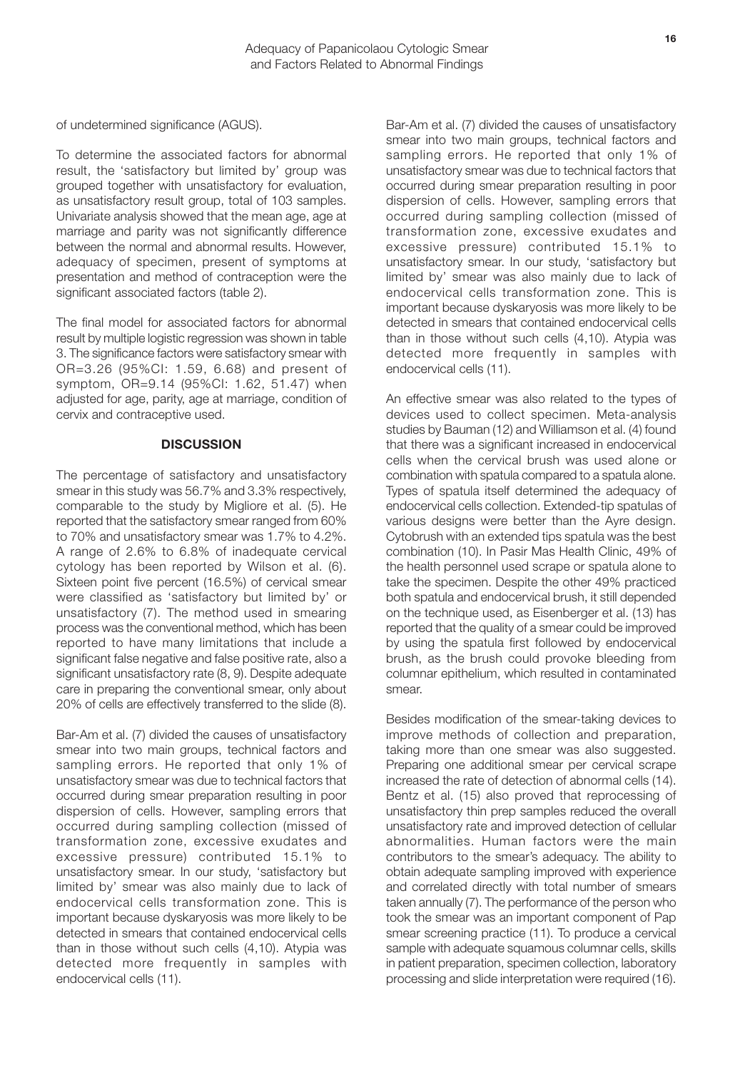of undetermined significance (AGUS).

To determine the associated factors for abnormal result, the 'satisfactory but limited by' group was grouped together with unsatisfactory for evaluation, as unsatisfactory result group, total of 103 samples. Univariate analysis showed that the mean age, age at marriage and parity was not significantly difference between the normal and abnormal results. However, adequacy of specimen, present of symptoms at presentation and method of contraception were the significant associated factors (table 2).

The final model for associated factors for abnormal result by multiple logistic regression was shown in table 3. The significance factors were satisfactory smear with OR=3.26 (95%CI: 1.59, 6.68) and present of symptom, OR=9.14 (95%CI: 1.62, 51.47) when adjusted for age, parity, age at marriage, condition of cervix and contraceptive used.

## **DISCUSSION**

The percentage of satisfactory and unsatisfactory smear in this study was 56.7% and 3.3% respectively, comparable to the study by Migliore et al. (5). He reported that the satisfactory smear ranged from 60% to 70% and unsatisfactory smear was 1.7% to 4.2%. A range of 2.6% to 6.8% of inadequate cervical cytology has been reported by Wilson et al. (6). Sixteen point five percent (16.5%) of cervical smear were classified as 'satisfactory but limited by' or unsatisfactory (7). The method used in smearing process was the conventional method, which has been reported to have many limitations that include a significant false negative and false positive rate, also a significant unsatisfactory rate (8, 9). Despite adequate care in preparing the conventional smear, only about 20% of cells are effectively transferred to the slide (8).

Bar-Am et al. (7) divided the causes of unsatisfactory smear into two main groups, technical factors and sampling errors. He reported that only 1% of unsatisfactory smear was due to technical factors that occurred during smear preparation resulting in poor dispersion of cells. However, sampling errors that occurred during sampling collection (missed of transformation zone, excessive exudates and excessive pressure) contributed 15.1% to unsatisfactory smear. In our study, 'satisfactory but limited by' smear was also mainly due to lack of endocervical cells transformation zone. This is important because dyskaryosis was more likely to be detected in smears that contained endocervical cells than in those without such cells (4,10). Atypia was detected more frequently in samples with endocervical cells (11).

Bar-Am et al. (7) divided the causes of unsatisfactory smear into two main groups, technical factors and sampling errors. He reported that only 1% of unsatisfactory smear was due to technical factors that occurred during smear preparation resulting in poor dispersion of cells. However, sampling errors that occurred during sampling collection (missed of transformation zone, excessive exudates and excessive pressure) contributed 15.1% to unsatisfactory smear. In our study, 'satisfactory but limited by' smear was also mainly due to lack of endocervical cells transformation zone. This is important because dyskaryosis was more likely to be detected in smears that contained endocervical cells than in those without such cells (4,10). Atypia was detected more frequently in samples with endocervical cells (11).

An effective smear was also related to the types of devices used to collect specimen. Meta-analysis studies by Bauman (12) and Williamson et al. (4) found that there was a significant increased in endocervical cells when the cervical brush was used alone or combination with spatula compared to a spatula alone. Types of spatula itself determined the adequacy of endocervical cells collection. Extended-tip spatulas of various designs were better than the Ayre design. Cytobrush with an extended tips spatula was the best combination (10). In Pasir Mas Health Clinic, 49% of the health personnel used scrape or spatula alone to take the specimen. Despite the other 49% practiced both spatula and endocervical brush, it still depended on the technique used, as Eisenberger et al. (13) has reported that the quality of a smear could be improved by using the spatula first followed by endocervical brush, as the brush could provoke bleeding from columnar epithelium, which resulted in contaminated smear.

Besides modification of the smear-taking devices to improve methods of collection and preparation, taking more than one smear was also suggested. Preparing one additional smear per cervical scrape increased the rate of detection of abnormal cells (14). Bentz et al. (15) also proved that reprocessing of unsatisfactory thin prep samples reduced the overall unsatisfactory rate and improved detection of cellular abnormalities. Human factors were the main contributors to the smear's adequacy. The ability to obtain adequate sampling improved with experience and correlated directly with total number of smears taken annually (7). The performance of the person who took the smear was an important component of Pap smear screening practice (11). To produce a cervical sample with adequate squamous columnar cells, skills in patient preparation, specimen collection, laboratory processing and slide interpretation were required (16).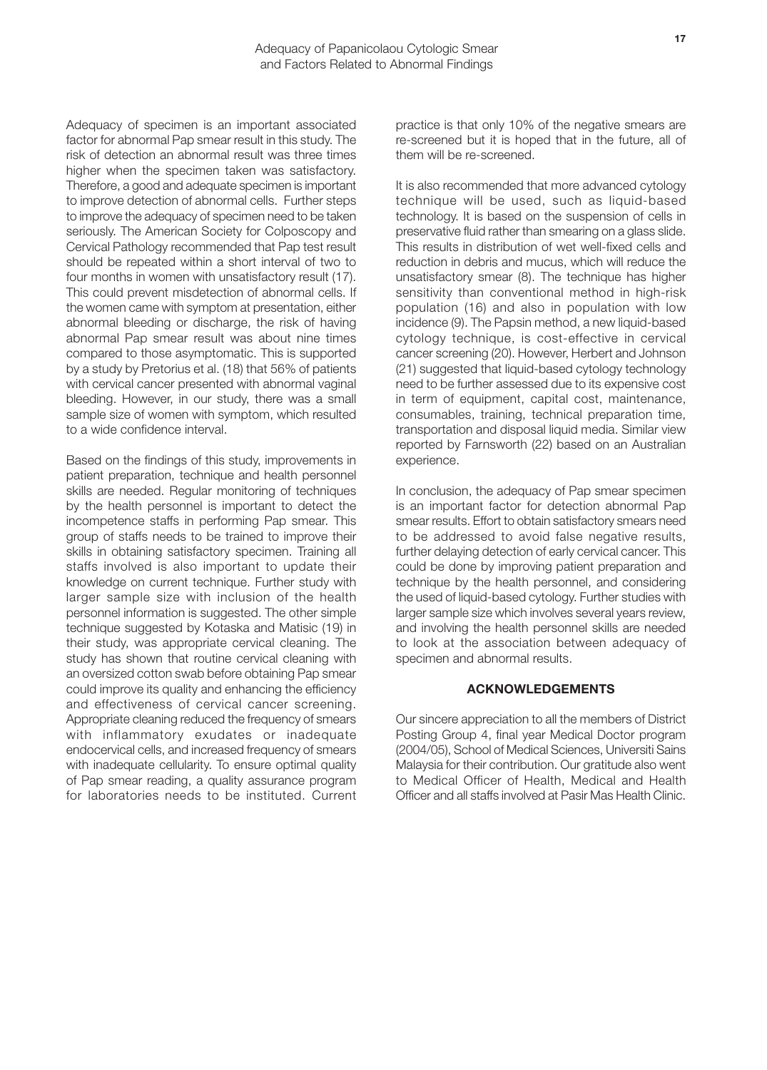Adequacy of specimen is an important associated factor for abnormal Pap smear result in this study. The risk of detection an abnormal result was three times higher when the specimen taken was satisfactory. Therefore, a good and adequate specimen is important to improve detection of abnormal cells. Further steps to improve the adequacy of specimen need to be taken seriously. The American Society for Colposcopy and Cervical Pathology recommended that Pap test result should be repeated within a short interval of two to four months in women with unsatisfactory result (17). This could prevent misdetection of abnormal cells. If the women came with symptom at presentation, either abnormal bleeding or discharge, the risk of having abnormal Pap smear result was about nine times compared to those asymptomatic. This is supported by a study by Pretorius et al. (18) that 56% of patients with cervical cancer presented with abnormal vaginal bleeding. However, in our study, there was a small sample size of women with symptom, which resulted to a wide confidence interval.

Based on the findings of this study, improvements in patient preparation, technique and health personnel skills are needed. Regular monitoring of techniques by the health personnel is important to detect the incompetence staffs in performing Pap smear. This group of staffs needs to be trained to improve their skills in obtaining satisfactory specimen. Training all staffs involved is also important to update their knowledge on current technique. Further study with larger sample size with inclusion of the health personnel information is suggested. The other simple technique suggested by Kotaska and Matisic (19) in their study, was appropriate cervical cleaning. The study has shown that routine cervical cleaning with an oversized cotton swab before obtaining Pap smear could improve its quality and enhancing the efficiency and effectiveness of cervical cancer screening. Appropriate cleaning reduced the frequency of smears with inflammatory exudates or inadequate endocervical cells, and increased frequency of smears with inadequate cellularity. To ensure optimal quality of Pap smear reading, a quality assurance program for laboratories needs to be instituted. Current

practice is that only 10% of the negative smears are re-screened but it is hoped that in the future, all of them will be re-screened.

It is also recommended that more advanced cytology technique will be used, such as liquid-based technology. It is based on the suspension of cells in preservative fluid rather than smearing on a glass slide. This results in distribution of wet well-fixed cells and reduction in debris and mucus, which will reduce the unsatisfactory smear (8). The technique has higher sensitivity than conventional method in high-risk population (16) and also in population with low incidence (9). The Papsin method, a new liquid-based cytology technique, is cost-effective in cervical cancer screening (20). However, Herbert and Johnson (21) suggested that liquid-based cytology technology need to be further assessed due to its expensive cost in term of equipment, capital cost, maintenance, consumables, training, technical preparation time, transportation and disposal liquid media. Similar view reported by Farnsworth (22) based on an Australian experience.

In conclusion, the adequacy of Pap smear specimen is an important factor for detection abnormal Pap smear results. Effort to obtain satisfactory smears need to be addressed to avoid false negative results, further delaying detection of early cervical cancer. This could be done by improving patient preparation and technique by the health personnel, and considering the used of liquid-based cytology. Further studies with larger sample size which involves several years review, and involving the health personnel skills are needed to look at the association between adequacy of specimen and abnormal results.

## **ACKNOWLEDGEMENTS**

Our sincere appreciation to all the members of District Posting Group 4, final year Medical Doctor program (2004/05), School of Medical Sciences, Universiti Sains Malaysia for their contribution. Our gratitude also went to Medical Officer of Health, Medical and Health Officer and all staffs involved at Pasir Mas Health Clinic.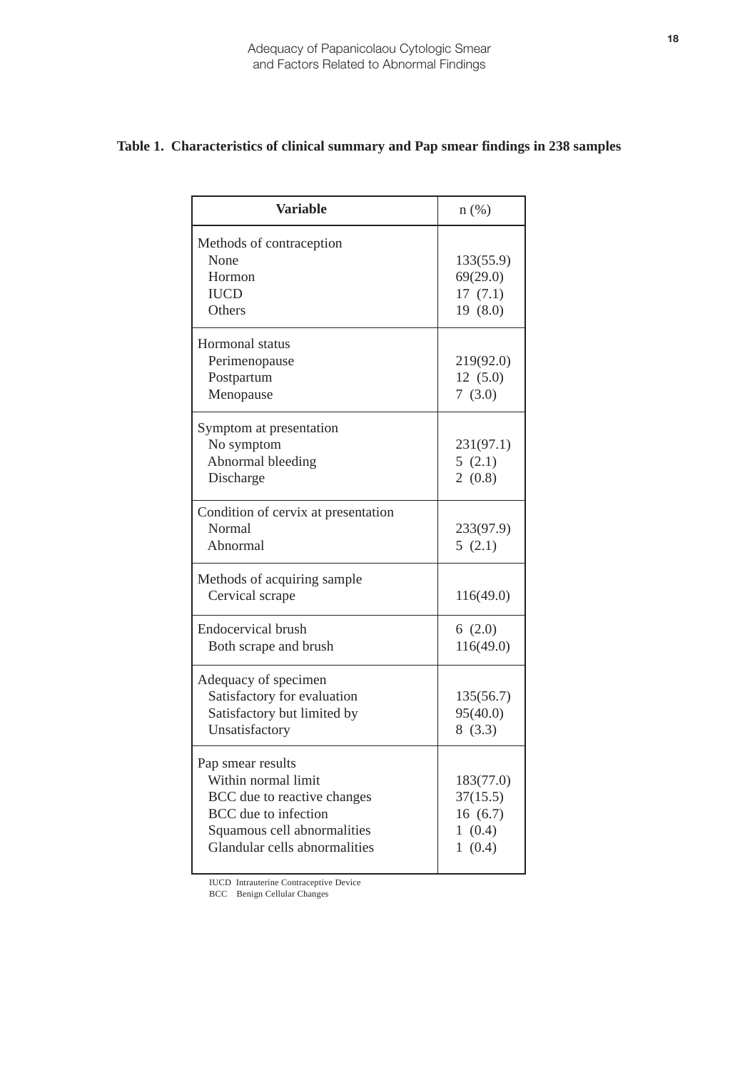| <b>Variable</b>                     | $n$ (%)   |
|-------------------------------------|-----------|
| Methods of contraception            |           |
| None                                | 133(55.9) |
| Hormon                              | 69(29.0)  |
| <b>IUCD</b>                         | 17(7.1)   |
| Others                              | 19(8.0)   |
| Hormonal status                     |           |
| Perimenopause                       | 219(92.0) |
| Postpartum                          | 12(5.0)   |
| Menopause                           | 7(3.0)    |
| Symptom at presentation             |           |
| No symptom                          | 231(97.1) |
| Abnormal bleeding                   | 5(2.1)    |
| Discharge                           | 2(0.8)    |
| Condition of cervix at presentation |           |
| Normal                              | 233(97.9) |
| Abnormal                            | 5(2.1)    |
| Methods of acquiring sample         |           |
| Cervical scrape                     | 116(49.0) |
| <b>Endocervical brush</b>           | 6(2.0)    |
| Both scrape and brush               | 116(49.0) |
| Adequacy of specimen                |           |
| Satisfactory for evaluation         | 135(56.7) |
| Satisfactory but limited by         | 95(40.0)  |
| Unsatisfactory                      | 8(3.3)    |
| Pap smear results                   |           |
| Within normal limit                 | 183(77.0) |
| BCC due to reactive changes         | 37(15.5)  |
| BCC due to infection                | 16(6.7)   |
| Squamous cell abnormalities         | 1(0.4)    |
| Glandular cells abnormalities       | 1(0.4)    |

## **Table 1. Characteristics of clinical summary and Pap smear findings in 238 samples**

IUCD Intrauterine Contraceptive Device

BCC Benign Cellular Changes

L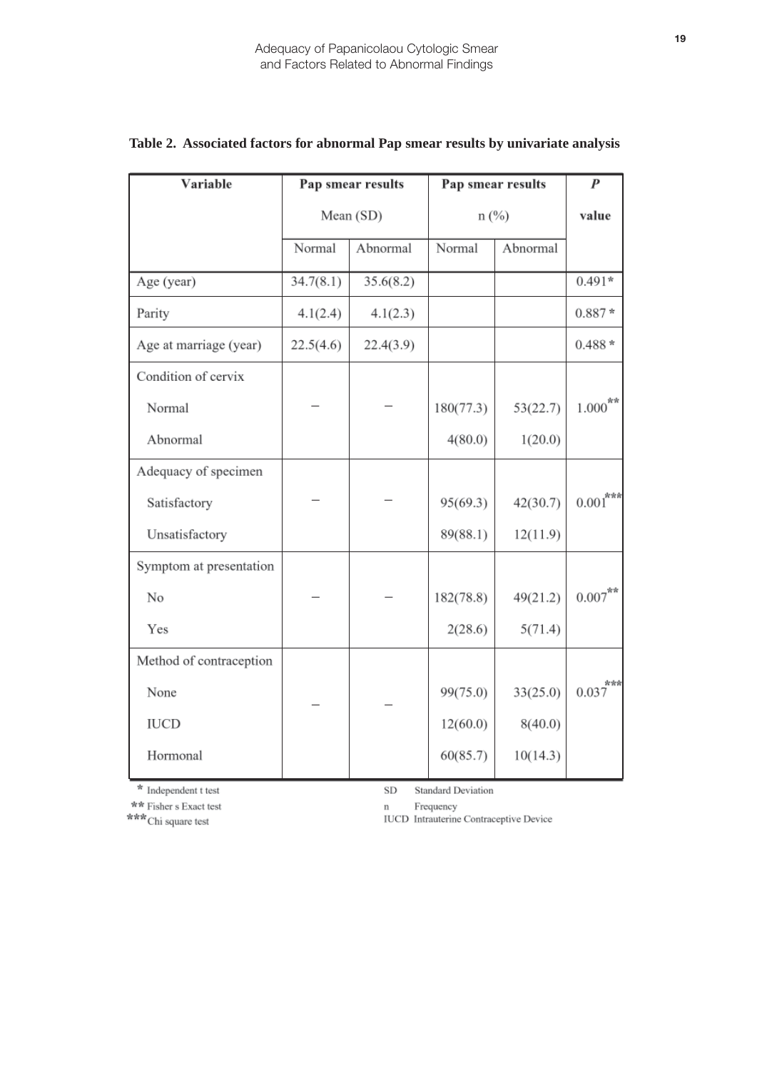| Variable                |           | Pap smear results |           | Pap smear results | $\boldsymbol{P}$   |
|-------------------------|-----------|-------------------|-----------|-------------------|--------------------|
|                         | Mean (SD) |                   | $n$ (%)   |                   | value              |
|                         | Normal    | Abnormal          | Normal    | Abnormal          |                    |
| Age (year)              | 34.7(8.1) | 35.6(8.2)         |           |                   | $0.491*$           |
| Parity                  | 4.1(2.4)  | 4.1(2.3)          |           |                   | $0.887*$           |
| Age at marriage (year)  | 22.5(4.6) | 22.4(3.9)         |           |                   | $0.488*$           |
| Condition of cervix     |           |                   |           |                   |                    |
| Normal                  |           |                   | 180(77.3) | 53(22.7)          | $1.000^{**}$       |
| Abnormal                |           |                   | 4(80.0)   | 1(20.0)           |                    |
| Adequacy of specimen    |           |                   |           |                   |                    |
| Satisfactory            |           |                   | 95(69.3)  | 42(30.7)          | $0.001^{***}$      |
| Unsatisfactory          |           |                   | 89(88.1)  | 12(11.9)          |                    |
| Symptom at presentation |           |                   |           |                   |                    |
| No                      |           |                   | 182(78.8) | 49(21.2)          | $0.007^{\ast\ast}$ |
| Yes                     |           |                   | 2(28.6)   | 5(71.4)           |                    |
| Method of contraception |           |                   |           |                   |                    |
| None                    |           |                   | 99(75.0)  | 33(25.0)          | ***<br>0.037       |
| <b>IUCD</b>             |           |                   | 12(60.0)  | 8(40.0)           |                    |
| Hormonal                |           |                   | 60(85.7)  | 10(14.3)          |                    |

# **Table 2. Associated factors for abnormal Pap smear results by univariate analysis**

 $*$  Independent t test \*\* Fisher s Exact test

\*\*\* Chi square test

 $\rm SD$ **Standard Deviation** 

Frequency  $\mathbf n$ 

IUCD Intrauterine Contraceptive Device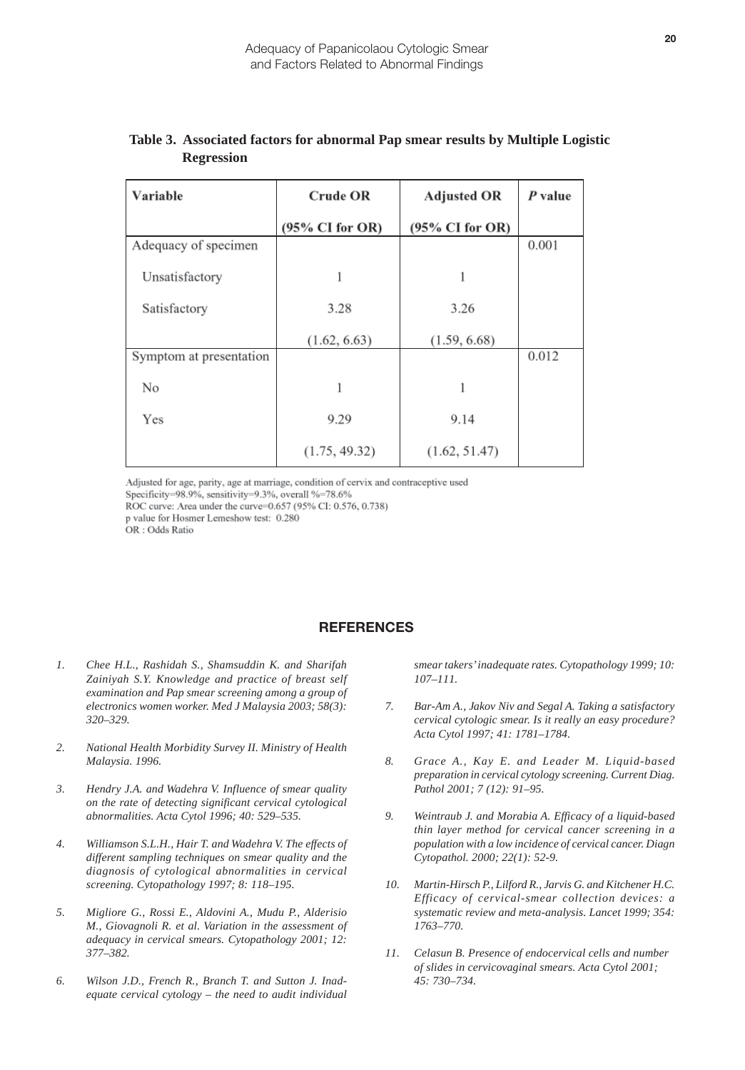| Variable                | <b>Crude OR</b><br><b>Adjusted OR</b> |                 | P value |
|-------------------------|---------------------------------------|-----------------|---------|
|                         | $(95\% \text{ CI for OR})$            | (95% CI for OR) |         |
| Adequacy of specimen    |                                       |                 | 0.001   |
| Unsatisfactory          |                                       | 1               |         |
| Satisfactory            | 3.28                                  | 3.26            |         |
|                         | (1.62, 6.63)                          | (1.59, 6.68)    |         |
| Symptom at presentation |                                       |                 | 0.012   |
| No                      |                                       | 1               |         |
| Yes                     | 9.29                                  | 9.14            |         |
|                         | (1.75, 49.32)                         | (1.62, 51.47)   |         |

## **Table 3. Associated factors for abnormal Pap smear results by Multiple Logistic Regression**

Adjusted for age, parity, age at marriage, condition of cervix and contraceptive used

Specificity=98.9%, sensitivity=9.3%, overall %=78.6%

ROC curve: Area under the curve=0.657 (95% CI: 0.576, 0.738)

p value for Hosmer Lemeshow test: 0.280

OR: Odds Ratio

## **REFERENCES**

- *1. Chee H.L., Rashidah S., Shamsuddin K. and Sharifah Zainiyah S.Y. Knowledge and practice of breast self examination and Pap smear screening among a group of electronics women worker. Med J Malaysia 2003; 58(3): 320–329.*
- *2. National Health Morbidity Survey II. Ministry of Health Malaysia. 1996.*
- *3. Hendry J.A. and Wadehra V. Influence of smear quality on the rate of detecting significant cervical cytological abnormalities. Acta Cytol 1996; 40: 529–535.*
- *4. Williamson S.L.H., Hair T. and Wadehra V. The effects of different sampling techniques on smear quality and the diagnosis of cytological abnormalities in cervical screening. Cytopathology 1997; 8: 118–195.*
- *5. Migliore G., Rossi E., Aldovini A., Mudu P., Alderisio M., Giovagnoli R. et al. Variation in the assessment of adequacy in cervical smears. Cytopathology 2001; 12: 377–382.*
- *6. Wilson J.D., French R., Branch T. and Sutton J. Inadequate cervical cytology – the need to audit individual*

*smear takers' inadequate rates. Cytopathology 1999; 10: 107–111.*

- *Bar-Am A., Jakov Niv and Segal A. Taking a satisfactory cervical cytologic smear. Is it really an easy procedure? Acta Cytol 1997; 41: 1781–1784. 7.*
- *Grace A., Kay E. and Leader M. Liquid-based preparation in cervical cytology screening. Current Diag. Pathol 2001; 7 (12): 91–95. 8.*
- *Weintraub J. and Morabia A. Efficacy of a liquid-based thin layer method for cervical cancer screening in a population with a low incidence of cervical cancer. Diagn Cytopathol. 2000; 22(1): 52-9. 9.*
- *Martin-Hirsch P., Lilford R., Jarvis G. and Kitchener H.C. Efficacy of cervical-smear collection devices: a systematic review and meta-analysis. Lancet 1999; 354: 1763–770. 10.*
- *Celasun B. Presence of endocervical cells and number of slides in cervicovaginal smears. Acta Cytol 2001; 45: 730–734. 11.*